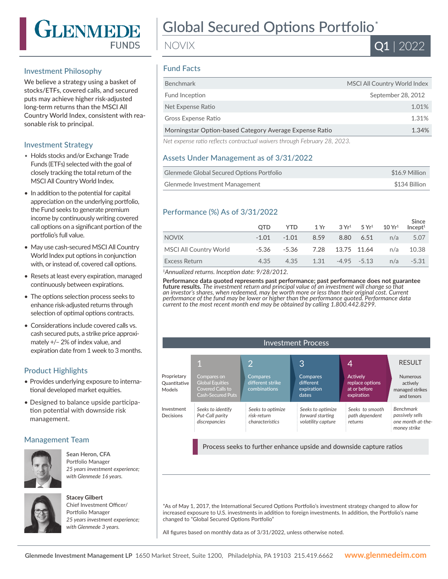

## Investment Philosophy

We believe a strategy using a basket of stocks/ETFs, covered calls, and secured puts may achieve higher risk-adjusted long-term returns than the MSCI All Country World Index, consistent with reasonable risk to principal.

## Investment Strategy

- Holds stocks and/or Exchange Trade Funds (ETFs) selected with the goal of closely tracking the total return of the MSCI All Country World Index.
- In addition to the potential for capital appreciation on the underlying portfolio, the Fund seeks to generate premium income by continuously writing covered call options on a significant portion of the portfolio's full value.
- May use cash-secured MSCI All Country World Index put options in conjunction with, or instead of, covered call options.
- Resets at least every expiration, managed continuously between expirations.
- The options selection process seeks to enhance risk-adjusted returns through selection of optimal options contracts.
- Considerations include covered calls vs. cash secured puts, a strike price approximately +/– 2% of index value, and expiration date from 1 week to 3 months.

## Product Highlights

- Provides underlying exposure to international developed market equities.
- Designed to balance upside participation potential with downside risk management.

## Management Team



**Sean Heron, CFA** Portfolio Manager *25 years investment experience; with Glenmede 16 years.*



#### **Stacey Gilbert**

Chief Investment Officer/ Portfolio Manager *25 years investment experience; with Glenmede 3 years.*

# Global Secured Options Portfolio\*

NOVIX



## Fund Facts

| <b>Benchmark</b>                                                            | MSCI All Country World Index |
|-----------------------------------------------------------------------------|------------------------------|
| Fund Inception                                                              | September 28, 2012           |
| Net Expense Ratio                                                           | 1.01%                        |
| Gross Expense Ratio                                                         | 1.31%                        |
| Morningstar Option-based Category Average Expense Ratio                     | 1.34%                        |
| Nist sussessed and suffering contractual unit and threugh February 00, 0000 |                              |

*Net expense ratio reflects contractual waivers through February 28, 2023.*

### Assets Under Management as of 3/31/2022

| Glenmede Global Secured Options Portfolio | \$16.9 Million |
|-------------------------------------------|----------------|
| Glenmede Investment Management            | \$134 Billion  |

## Performance (%) As of 3/31/2022

|                        | <b>OTD</b> | YTD.                         |      |               | $1 \text{Yr}$ $3 \text{Yr}^1$ $5 \text{Yr}^1$ $10 \text{Yr}^1$ | Since<br>Incept <sup>1</sup> |
|------------------------|------------|------------------------------|------|---------------|----------------------------------------------------------------|------------------------------|
| <b>NOVIX</b>           | $-1.01$    | $-1.01$                      | 8.59 | 8.80 6.51     | n/a                                                            | 5.07                         |
| MSCI All Country World |            | -5.36 -5.36 7.28 13.75 11.64 |      |               | n/a                                                            | 10.38                        |
| Excess Return          | 4.35       | 4.35                         | 1.31 | $-4.95 -5.13$ |                                                                | $n/a$ $-5.31$                |

*<sup>1</sup>Annualized returns. Inception date: 9/28/2012.*

**Performance data quoted represents past performance; past performance does not guarantee future results.** *The investment return and principal value of an investment will change so that an investor's shares, when redeemed, may be worth more or less than their original cost. Current performance of the fund may be lower or higher than the performance quoted. Performance data current to the most recent month end may be obtained by calling 1.800.442.8299.*

| <b>Investment Process</b>                                           |                                                                                              |                                                     |                                                             |                                                           |                                                                          |
|---------------------------------------------------------------------|----------------------------------------------------------------------------------------------|-----------------------------------------------------|-------------------------------------------------------------|-----------------------------------------------------------|--------------------------------------------------------------------------|
|                                                                     |                                                                                              | $\overline{2}$                                      | 3                                                           | 4                                                         | <b>RESULT</b>                                                            |
| Proprietary<br>Quantitative<br>Models                               | Compares on<br><b>Global Equities</b><br><b>Covered Calls to</b><br><b>Cash-Secured Puts</b> | Compares<br>different strike<br>combinations        | <b>Compares</b><br>different<br>expiration<br>dates         | Actively<br>replace options<br>at or before<br>expiration | <b>Numerous</b><br>actively<br>managed strikes<br>and tenors             |
| Investment<br>Decisions                                             | Seeks to identify<br>Put-Call parity<br>discrepancies                                        | Seeks to optimize<br>risk-return<br>characteristics | Seeks to optimize<br>forward starting<br>volatility capture | Seeks to smooth<br>path dependent<br>returns              | <b>Benchmark</b><br>passively sells<br>one month at-the-<br>money strike |
| Process seeks to further enhance upside and downside capture ratios |                                                                                              |                                                     |                                                             |                                                           |                                                                          |

\*As of May 1, 2017, the International Secured Options Portfolio's investment strategy changed to allow for increased exposure to U.S. investments in addition to foreign investments. In addition, the Portfolio's name changed to "Global Secured Options Portfolio"

All figures based on monthly data as of 3/31/2022, unless otherwise noted.